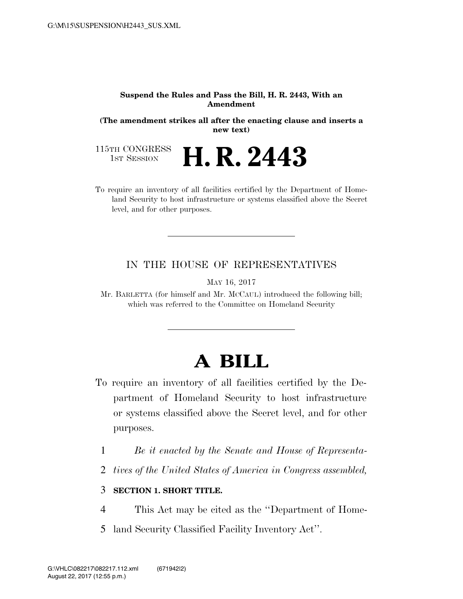#### **Suspend the Rules and Pass the Bill, H. R. 2443, With an Amendment**

**(The amendment strikes all after the enacting clause and inserts a new text)** 

115TH CONGRESS<br>1st Session **H. R. 2443** 

To require an inventory of all facilities certified by the Department of Homeland Security to host infrastructure or systems classified above the Secret level, and for other purposes.

### IN THE HOUSE OF REPRESENTATIVES

MAY 16, 2017

Mr. BARLETTA (for himself and Mr. MCCAUL) introduced the following bill; which was referred to the Committee on Homeland Security

# **A BILL**

- To require an inventory of all facilities certified by the Department of Homeland Security to host infrastructure or systems classified above the Secret level, and for other purposes.
	- 1 *Be it enacted by the Senate and House of Representa-*
	- 2 *tives of the United States of America in Congress assembled,*

### 3 **SECTION 1. SHORT TITLE.**

- 4 This Act may be cited as the ''Department of Home-
- 5 land Security Classified Facility Inventory Act''.